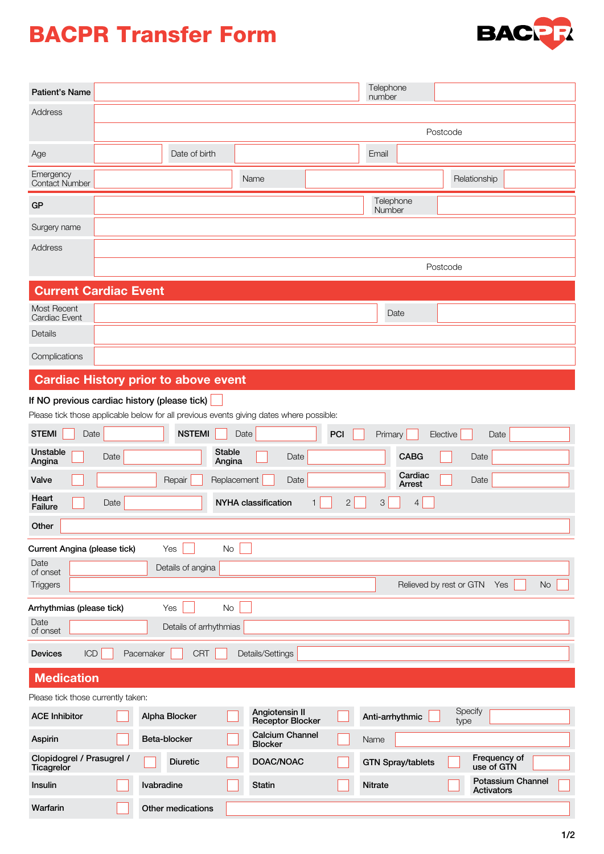## BACPR Transfer Form



| <b>Patient's Name</b>                                                                    |                                                            |               |                        |                                          |  |                 | Telephone<br>number      |                 |                                               |           |  |
|------------------------------------------------------------------------------------------|------------------------------------------------------------|---------------|------------------------|------------------------------------------|--|-----------------|--------------------------|-----------------|-----------------------------------------------|-----------|--|
| Address                                                                                  |                                                            |               |                        |                                          |  |                 |                          |                 |                                               |           |  |
|                                                                                          |                                                            | Postcode      |                        |                                          |  |                 |                          |                 |                                               |           |  |
| Age                                                                                      |                                                            |               | Date of birth          |                                          |  | Email           |                          |                 |                                               |           |  |
| Emergency<br><b>Contact Number</b>                                                       |                                                            |               |                        | Name                                     |  |                 |                          | Relationship    |                                               |           |  |
| GP                                                                                       |                                                            |               |                        |                                          |  | Number          | Telephone                |                 |                                               |           |  |
| Surgery name                                                                             |                                                            |               |                        |                                          |  |                 |                          |                 |                                               |           |  |
| Address                                                                                  |                                                            |               |                        |                                          |  |                 |                          |                 |                                               |           |  |
|                                                                                          |                                                            | Postcode      |                        |                                          |  |                 |                          |                 |                                               |           |  |
| <b>Current Cardiac Event</b>                                                             |                                                            |               |                        |                                          |  |                 |                          |                 |                                               |           |  |
| <b>Most Recent</b><br>Cardiac Event                                                      |                                                            |               |                        |                                          |  |                 | Date                     |                 |                                               |           |  |
| Details                                                                                  |                                                            |               |                        |                                          |  |                 |                          |                 |                                               |           |  |
| Complications                                                                            |                                                            |               |                        |                                          |  |                 |                          |                 |                                               |           |  |
| <b>Cardiac History prior to above event</b>                                              |                                                            |               |                        |                                          |  |                 |                          |                 |                                               |           |  |
| If NO previous cardiac history (please tick)                                             |                                                            |               |                        |                                          |  |                 |                          |                 |                                               |           |  |
| Please tick those applicable below for all previous events giving dates where possible:  |                                                            |               |                        |                                          |  |                 |                          |                 |                                               |           |  |
| <b>STEMI</b><br><b>NSTEMI</b><br>Date<br>Date<br>PCI<br>Primary<br>Elective<br>Date      |                                                            |               |                        |                                          |  |                 |                          |                 |                                               |           |  |
| Unstable<br><b>Stable</b><br><b>CABG</b><br>Date<br>Date<br>Date<br>Angina<br>Angina     |                                                            |               |                        |                                          |  |                 |                          |                 |                                               |           |  |
| Valve                                                                                    | Cardiac<br>Repair<br>Replacement<br>Date<br>Date<br>Arrest |               |                        |                                          |  |                 |                          |                 |                                               |           |  |
| Heart<br><b>NYHA classification</b><br>Date<br>$\overline{c}$<br>3<br>4<br>1.<br>Failure |                                                            |               |                        |                                          |  |                 |                          |                 |                                               |           |  |
| Other                                                                                    |                                                            |               |                        |                                          |  |                 |                          |                 |                                               |           |  |
| Current Angina (please tick)                                                             |                                                            | Yes           |                        | <b>No</b>                                |  |                 |                          |                 |                                               |           |  |
| Date<br>of onset                                                                         |                                                            |               | Details of angina      |                                          |  |                 |                          |                 |                                               |           |  |
| <b>Triggers</b>                                                                          |                                                            |               |                        |                                          |  |                 | Relieved by rest or GTN  |                 | Yes                                           | <b>No</b> |  |
| No<br>Arrhythmias (please tick)<br>Yes                                                   |                                                            |               |                        |                                          |  |                 |                          |                 |                                               |           |  |
| Date<br>of onset                                                                         |                                                            |               | Details of arrhythmias |                                          |  |                 |                          |                 |                                               |           |  |
| ICD<br><b>CRT</b><br>Details/Settings<br><b>Devices</b><br>Pacemaker                     |                                                            |               |                        |                                          |  |                 |                          |                 |                                               |           |  |
| <b>Medication</b>                                                                        |                                                            |               |                        |                                          |  |                 |                          |                 |                                               |           |  |
| Please tick those currently taken:                                                       |                                                            |               |                        |                                          |  |                 |                          |                 |                                               |           |  |
| <b>ACE Inhibitor</b>                                                                     |                                                            | Alpha Blocker |                        | Angiotensin II<br>Receptor Blocker       |  | Anti-arrhythmic |                          | Specify<br>type |                                               |           |  |
| Aspirin                                                                                  |                                                            | Beta-blocker  |                        | <b>Calcium Channel</b><br><b>Blocker</b> |  | Name            |                          |                 |                                               |           |  |
| Clopidogrel / Prasugrel /<br>Ticagrelor                                                  |                                                            |               | <b>Diuretic</b>        | DOAC/NOAC                                |  |                 | <b>GTN Spray/tablets</b> |                 | Frequency of<br>use of GTN                    |           |  |
| Insulin                                                                                  |                                                            | Ivabradine    |                        | <b>Statin</b>                            |  | <b>Nitrate</b>  |                          |                 | <b>Potassium Channel</b><br><b>Activators</b> |           |  |
| Warfarin                                                                                 |                                                            |               | Other medications      |                                          |  |                 |                          |                 |                                               |           |  |